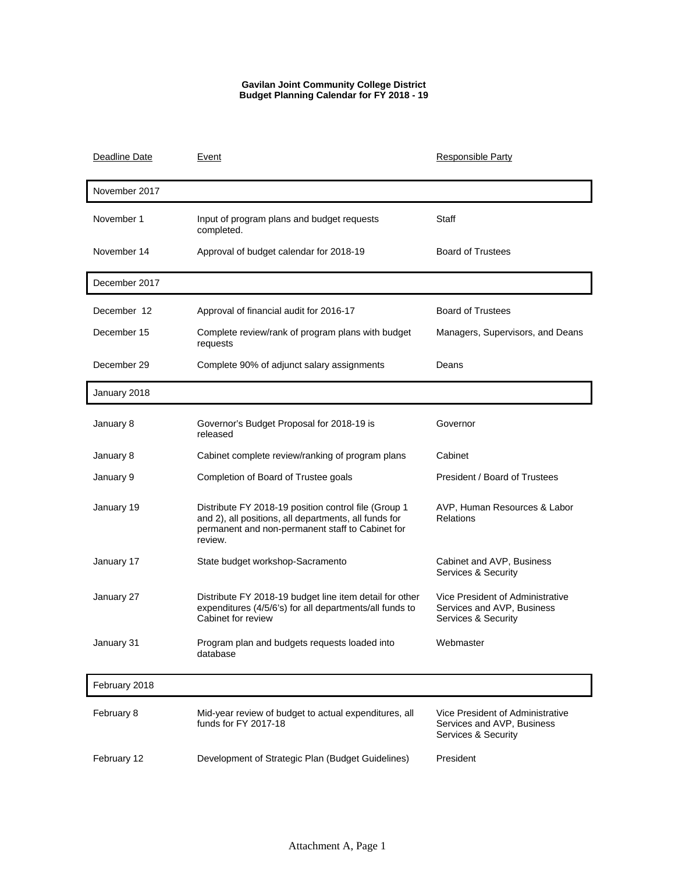## **Gavilan Joint Community College District Budget Planning Calendar for FY 2018 - 19**

| Deadline Date | Event                                                                                                                                                                        | <b>Responsible Party</b>                                                              |
|---------------|------------------------------------------------------------------------------------------------------------------------------------------------------------------------------|---------------------------------------------------------------------------------------|
| November 2017 |                                                                                                                                                                              |                                                                                       |
| November 1    | Input of program plans and budget requests<br>completed.                                                                                                                     | Staff                                                                                 |
| November 14   | Approval of budget calendar for 2018-19                                                                                                                                      | <b>Board of Trustees</b>                                                              |
| December 2017 |                                                                                                                                                                              |                                                                                       |
| December 12   | Approval of financial audit for 2016-17                                                                                                                                      | <b>Board of Trustees</b>                                                              |
| December 15   | Complete review/rank of program plans with budget<br>requests                                                                                                                | Managers, Supervisors, and Deans                                                      |
| December 29   | Complete 90% of adjunct salary assignments                                                                                                                                   | Deans                                                                                 |
| January 2018  |                                                                                                                                                                              |                                                                                       |
| January 8     | Governor's Budget Proposal for 2018-19 is<br>released                                                                                                                        | Governor                                                                              |
| January 8     | Cabinet complete review/ranking of program plans                                                                                                                             | Cabinet                                                                               |
| January 9     | Completion of Board of Trustee goals                                                                                                                                         | President / Board of Trustees                                                         |
| January 19    | Distribute FY 2018-19 position control file (Group 1<br>and 2), all positions, all departments, all funds for<br>permanent and non-permanent staff to Cabinet for<br>review. | AVP, Human Resources & Labor<br><b>Relations</b>                                      |
| January 17    | State budget workshop-Sacramento                                                                                                                                             | Cabinet and AVP, Business<br>Services & Security                                      |
| January 27    | Distribute FY 2018-19 budget line item detail for other<br>expenditures (4/5/6's) for all departments/all funds to<br>Cabinet for review                                     | Vice President of Administrative<br>Services and AVP, Business<br>Services & Security |
| January 31    | Program plan and budgets requests loaded into<br>database                                                                                                                    | Webmaster                                                                             |
| February 2018 |                                                                                                                                                                              |                                                                                       |
| February 8    | Mid-year review of budget to actual expenditures, all<br>funds for FY 2017-18                                                                                                | Vice President of Administrative<br>Services and AVP, Business<br>Services & Security |
| February 12   | Development of Strategic Plan (Budget Guidelines)                                                                                                                            | President                                                                             |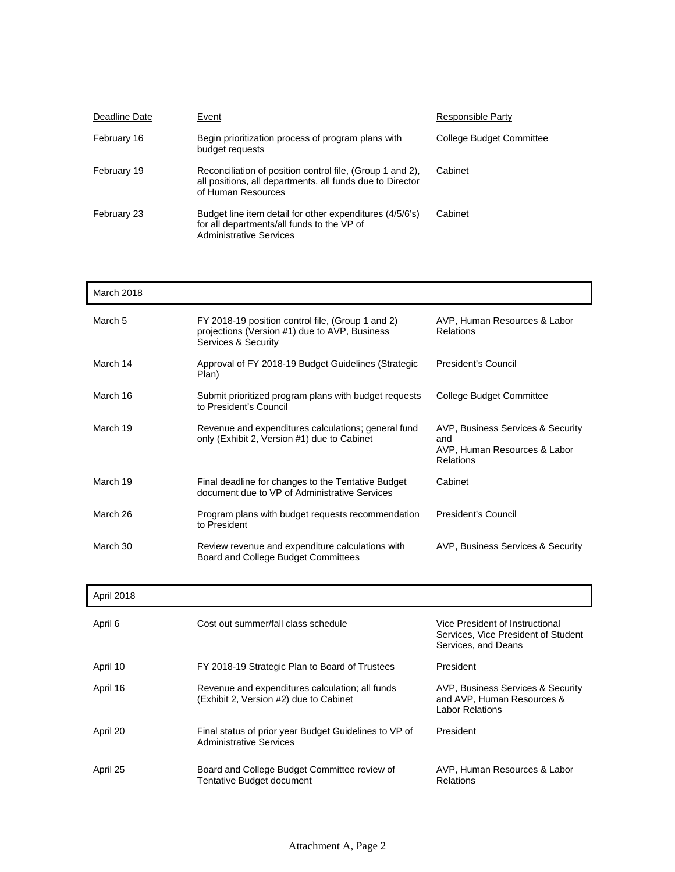| Deadline Date | Event                                                                                                                                        | Responsible Party        |
|---------------|----------------------------------------------------------------------------------------------------------------------------------------------|--------------------------|
| February 16   | Begin prioritization process of program plans with<br>budget requests                                                                        | College Budget Committee |
| February 19   | Reconciliation of position control file, (Group 1 and 2),<br>all positions, all departments, all funds due to Director<br>of Human Resources | Cabinet                  |
| February 23   | Budget line item detail for other expenditures (4/5/6's)<br>for all departments/all funds to the VP of<br><b>Administrative Services</b>     | Cabinet                  |

| March 2018 |                                                                                                                           |                                                                                              |
|------------|---------------------------------------------------------------------------------------------------------------------------|----------------------------------------------------------------------------------------------|
| March 5    | FY 2018-19 position control file, (Group 1 and 2)<br>projections (Version #1) due to AVP, Business<br>Services & Security | AVP, Human Resources & Labor<br><b>Relations</b>                                             |
| March 14   | Approval of FY 2018-19 Budget Guidelines (Strategic<br>Plan)                                                              | President's Council                                                                          |
| March 16   | Submit prioritized program plans with budget requests<br>to President's Council                                           | College Budget Committee                                                                     |
| March 19   | Revenue and expenditures calculations; general fund<br>only (Exhibit 2, Version #1) due to Cabinet                        | AVP, Business Services & Security<br>and<br>AVP, Human Resources & Labor<br><b>Relations</b> |
| March 19   | Final deadline for changes to the Tentative Budget<br>document due to VP of Administrative Services                       | Cabinet                                                                                      |
| March 26   | Program plans with budget requests recommendation<br>to President                                                         | <b>President's Council</b>                                                                   |
| March 30   | Review revenue and expenditure calculations with<br>Board and College Budget Committees                                   | AVP, Business Services & Security                                                            |

| April 2018 |  |
|------------|--|
|------------|--|

| April 6  | Cost out summer/fall class schedule                                                       | Vice President of Instructional<br>Services, Vice President of Student<br>Services, and Deans |
|----------|-------------------------------------------------------------------------------------------|-----------------------------------------------------------------------------------------------|
| April 10 | FY 2018-19 Strategic Plan to Board of Trustees                                            | President                                                                                     |
| April 16 | Revenue and expenditures calculation; all funds<br>(Exhibit 2, Version #2) due to Cabinet | AVP, Business Services & Security<br>and AVP, Human Resources &<br><b>Labor Relations</b>     |
| April 20 | Final status of prior year Budget Guidelines to VP of<br><b>Administrative Services</b>   | President                                                                                     |
| April 25 | Board and College Budget Committee review of<br>Tentative Budget document                 | AVP, Human Resources & Labor<br>Relations                                                     |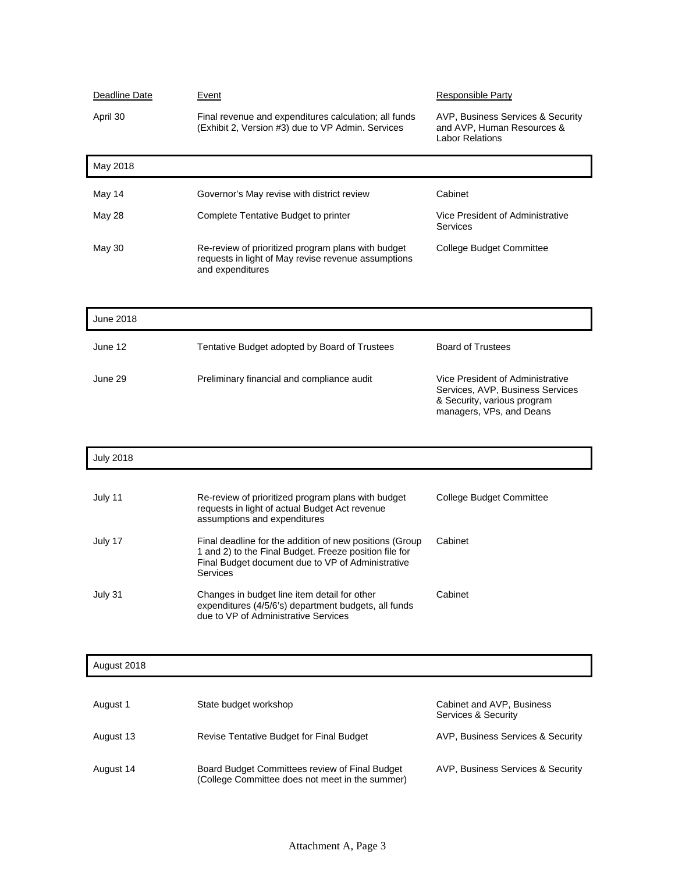| Deadline Date    | <u>Event</u>                                                                                                                                                                       | <b>Responsible Party</b>                                                                                                        |
|------------------|------------------------------------------------------------------------------------------------------------------------------------------------------------------------------------|---------------------------------------------------------------------------------------------------------------------------------|
| April 30         | Final revenue and expenditures calculation; all funds<br>(Exhibit 2, Version #3) due to VP Admin. Services                                                                         | AVP, Business Services & Security<br>and AVP, Human Resources &<br><b>Labor Relations</b>                                       |
| May 2018         |                                                                                                                                                                                    |                                                                                                                                 |
| May 14           | Governor's May revise with district review                                                                                                                                         | Cabinet                                                                                                                         |
| May 28           | Complete Tentative Budget to printer                                                                                                                                               | Vice President of Administrative<br>Services                                                                                    |
| <b>May 30</b>    | Re-review of prioritized program plans with budget<br>requests in light of May revise revenue assumptions<br>and expenditures                                                      | <b>College Budget Committee</b>                                                                                                 |
| June 2018        |                                                                                                                                                                                    |                                                                                                                                 |
| June 12          | Tentative Budget adopted by Board of Trustees                                                                                                                                      | <b>Board of Trustees</b>                                                                                                        |
| June 29          | Preliminary financial and compliance audit                                                                                                                                         | Vice President of Administrative<br>Services, AVP, Business Services<br>& Security, various program<br>managers, VPs, and Deans |
| <b>July 2018</b> |                                                                                                                                                                                    |                                                                                                                                 |
| July 11          | Re-review of prioritized program plans with budget<br>requests in light of actual Budget Act revenue<br>assumptions and expenditures                                               | <b>College Budget Committee</b>                                                                                                 |
|                  |                                                                                                                                                                                    |                                                                                                                                 |
| July 17          | Final deadline for the addition of new positions (Group<br>1 and 2) to the Final Budget. Freeze position file for<br>Final Budget document due to VP of Administrative<br>Services | Cabinet                                                                                                                         |
| July 31          | Changes in budget line item detail for other<br>expenditures (4/5/6's) department budgets, all funds<br>due to VP of Administrative Services                                       | Cabinet                                                                                                                         |
|                  |                                                                                                                                                                                    |                                                                                                                                 |
| August 2018      |                                                                                                                                                                                    |                                                                                                                                 |
| August 1         | State budget workshop                                                                                                                                                              | Cabinet and AVP, Business<br>Services & Security                                                                                |
| August 13        | Revise Tentative Budget for Final Budget                                                                                                                                           | AVP, Business Services & Security                                                                                               |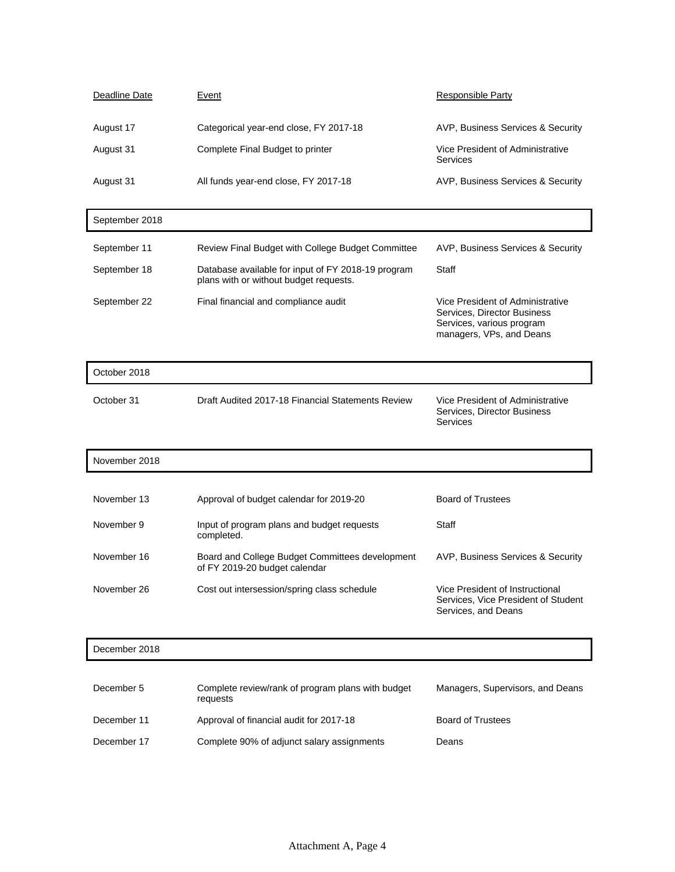| Deadline Date | Event                                  | Responsible Party                            |
|---------------|----------------------------------------|----------------------------------------------|
| August 17     | Categorical year-end close, FY 2017-18 | AVP, Business Services & Security            |
| August 31     | Complete Final Budget to printer       | Vice President of Administrative<br>Services |
| August 31     | All funds year-end close, FY 2017-18   | AVP, Business Services & Security            |

| September 2018 |                                                                                              |                                                                                                                          |
|----------------|----------------------------------------------------------------------------------------------|--------------------------------------------------------------------------------------------------------------------------|
| September 11   | Review Final Budget with College Budget Committee                                            | AVP, Business Services & Security                                                                                        |
| September 18   | Database available for input of FY 2018-19 program<br>plans with or without budget requests. | Staff                                                                                                                    |
| September 22   | Final financial and compliance audit                                                         | Vice President of Administrative<br>Services, Director Business<br>Services, various program<br>managers, VPs, and Deans |

| October 2018 |                                                   |                                                                             |
|--------------|---------------------------------------------------|-----------------------------------------------------------------------------|
| October 31   | Draft Audited 2017-18 Financial Statements Review | Vice President of Administrative<br>Services, Director Business<br>Services |

 $\overline{\phantom{a}}$ 

| November 2018 |                                                                                  |                                                                                               |
|---------------|----------------------------------------------------------------------------------|-----------------------------------------------------------------------------------------------|
|               |                                                                                  |                                                                                               |
| November 13   | Approval of budget calendar for 2019-20                                          | <b>Board of Trustees</b>                                                                      |
| November 9    | Input of program plans and budget requests<br>completed.                         | Staff                                                                                         |
| November 16   | Board and College Budget Committees development<br>of FY 2019-20 budget calendar | AVP. Business Services & Security                                                             |
| November 26   | Cost out intersession/spring class schedule                                      | Vice President of Instructional<br>Services, Vice President of Student<br>Services, and Deans |

## December 2018

| December 5  | Complete review/rank of program plans with budget<br>requests | Managers, Supervisors, and Deans |
|-------------|---------------------------------------------------------------|----------------------------------|
| December 11 | Approval of financial audit for 2017-18                       | <b>Board of Trustees</b>         |
| December 17 | Complete 90% of adjunct salary assignments                    | Deans                            |